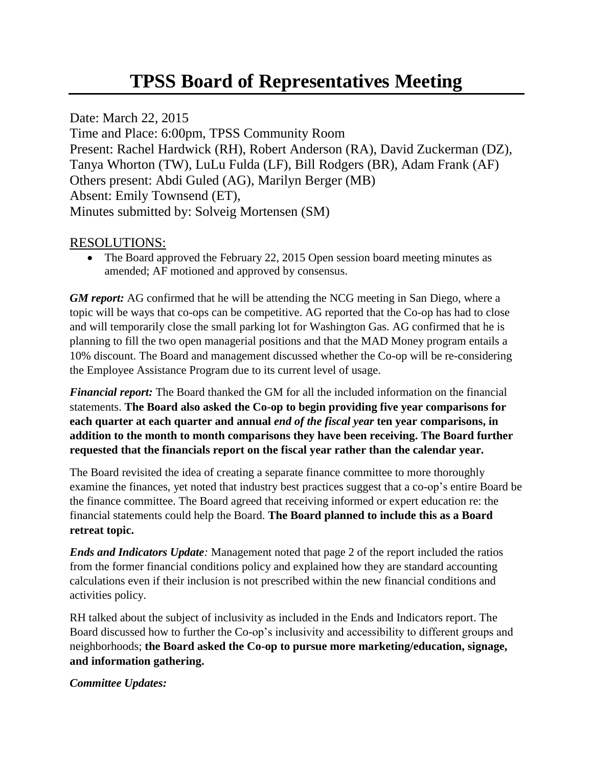## **TPSS Board of Representatives Meeting**

Date: March 22, 2015 Time and Place: 6:00pm, TPSS Community Room Present: Rachel Hardwick (RH), Robert Anderson (RA), David Zuckerman (DZ), Tanya Whorton (TW), LuLu Fulda (LF), Bill Rodgers (BR), Adam Frank (AF) Others present: Abdi Guled (AG), Marilyn Berger (MB) Absent: Emily Townsend (ET), Minutes submitted by: Solveig Mortensen (SM)

## RESOLUTIONS:

• The Board approved the February 22, 2015 Open session board meeting minutes as amended; AF motioned and approved by consensus.

*GM report:* AG confirmed that he will be attending the NCG meeting in San Diego, where a topic will be ways that co-ops can be competitive. AG reported that the Co-op has had to close and will temporarily close the small parking lot for Washington Gas. AG confirmed that he is planning to fill the two open managerial positions and that the MAD Money program entails a 10% discount. The Board and management discussed whether the Co-op will be re-considering the Employee Assistance Program due to its current level of usage.

*Financial report:* The Board thanked the GM for all the included information on the financial statements. **The Board also asked the Co-op to begin providing five year comparisons for each quarter at each quarter and annual** *end of the fiscal year* **ten year comparisons, in addition to the month to month comparisons they have been receiving. The Board further requested that the financials report on the fiscal year rather than the calendar year.** 

The Board revisited the idea of creating a separate finance committee to more thoroughly examine the finances, yet noted that industry best practices suggest that a co-op's entire Board be the finance committee. The Board agreed that receiving informed or expert education re: the financial statements could help the Board. **The Board planned to include this as a Board retreat topic.**

*Ends and Indicators Update:* Management noted that page 2 of the report included the ratios from the former financial conditions policy and explained how they are standard accounting calculations even if their inclusion is not prescribed within the new financial conditions and activities policy.

RH talked about the subject of inclusivity as included in the Ends and Indicators report. The Board discussed how to further the Co-op's inclusivity and accessibility to different groups and neighborhoods; **the Board asked the Co-op to pursue more marketing/education, signage, and information gathering.**

## *Committee Updates:*